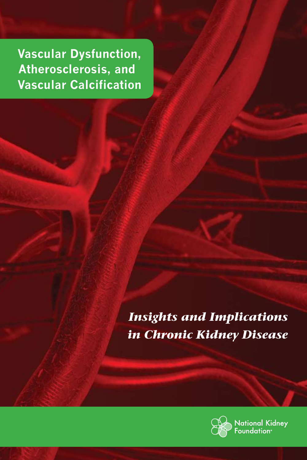**Vascular Dysfunction, Atherosclerosis, and Vascular Calcification**

> *Insights and Implications in Chronic Kidney Disease*



**Jational Kidney** oundation<sup>。</sup>

1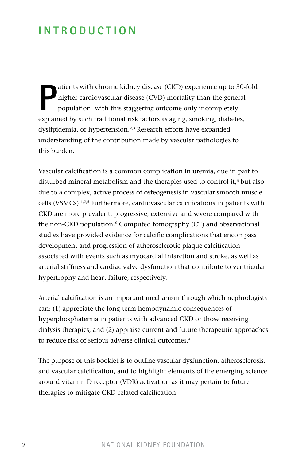**P** atients with chronic kidney disease (CKD) experience up to 30-fold higher cardiovascular disease (CVD) mortality than the general population<sup>1</sup> with this staggering outcome only incompletely explained by such traditional risk factors as aging, smoking, diabetes, dyslipidemia, or hypertension.<sup>2,3</sup> Research efforts have expanded understanding of the contribution made by vascular pathologies to this burden.

Vascular calcification is a common complication in uremia, due in part to disturbed mineral metabolism and the therapies used to control it, $4$  but also due to a complex, active process of osteogenesis in vascular smooth muscle cells (VSMCs).<sup>1,2,5</sup> Furthermore, cardiovascular calcifications in patients with CKD are more prevalent, progressive, extensive and severe compared with the non-CKD population.<sup>6</sup> Computed tomography (CT) and observational studies have provided evidence for calcific complications that encompass development and progression of atherosclerotic plaque calcification associated with events such as myocardial infarction and stroke, as well as arterial stiffness and cardiac valve dysfunction that contribute to ventricular hypertrophy and heart failure, respectively.

Arterial calcification is an important mechanism through which nephrologists can: (1) appreciate the long-term hemodynamic consequences of hyperphosphatemia in patients with advanced CKD or those receiving dialysis therapies, and (2) appraise current and future therapeutic approaches to reduce risk of serious adverse clinical outcomes.<sup>4</sup>

The purpose of this booklet is to outline vascular dysfunction, atherosclerosis, and vascular calcification, and to highlight elements of the emerging science around vitamin D receptor (VDR) activation as it may pertain to future therapies to mitigate CKD-related calcification.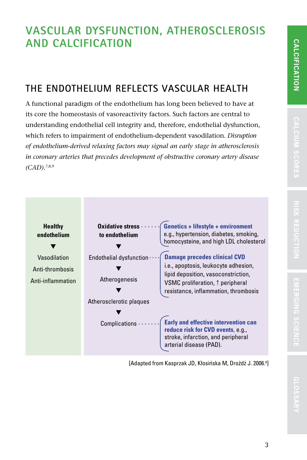**GLOSSAR**

GLOSSARY

# **The Endothelium Reflects Vascular Health**

A functional paradigm of the endothelium has long been believed to have at its core the homeostasis of vasoreactivity factors. Such factors are central to understanding endothelial cell integrity and, therefore, endothelial dysfunction, which refers to impairment of endothelium-dependent vasodilation. *Disruption of endothelium-derived relaxing factors may signal an early stage in atherosclerosis in coronary arteries that precedes development of obstructive coronary artery disease (CAD).*7,8,9



[Adapted from Kasprzak JD, Kłosińska M, Drożdż J. 2006.<sup>8</sup>]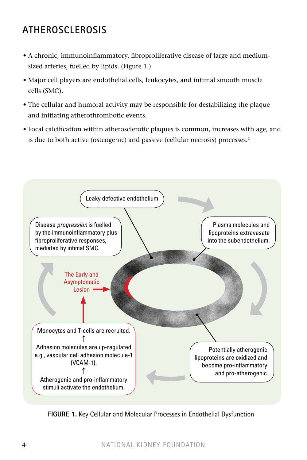## **Atherosclerosis**

- A chronic, immunoinflammatory, fibroproliferative disease of large and mediumsized arteries, fuelled by lipids. (Figure 1.)
- Major cell players are endothelial cells, leukocytes, and intimal smooth muscle cells (SMC).
- The cellular and humoral activity may be responsible for destabilizing the plaque and initiating atherothrombotic events.
- Focal calcification within atherosclerotic plaques is common, increases with age, and is due to both active (osteogenic) and passive (cellular necrosis) processes.<sup>2</sup>



**FIGURE 1.** Key Cellular and Molecular Processes in Endothelial Dysfunction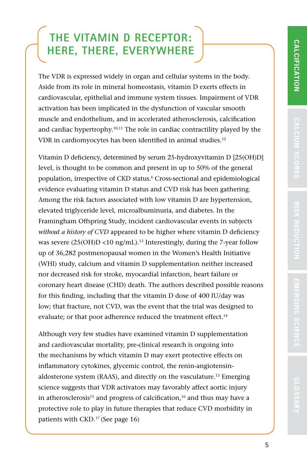**GLOSSAR**

The VDR is expressed widely in organ and cellular systems in the body. Aside from its role in mineral homeostasis, vitamin D exerts effects in cardiovascular, epithelial and immune system tissues. Impairment of VDR activation has been implicated in the dysfunction of vascular smooth muscle and endothelium, and in accelerated atherosclerosis, calcification and cardiac hypertrophy.<sup>10,11</sup> The role in cardiac contractility played by the VDR in cardiomyocytes has been identified in animal studies.<sup>12</sup>

Vitamin D deficiency, determined by serum 25-hydroxyvitamin D [25(OH)D] level, is thought to be common and present in up to 50% of the general population, irrespective of CKD status.<sup>6</sup> Cross-sectional and epidemiological evidence evaluating vitamin D status and CVD risk has been gathering. Among the risk factors associated with low vitamin D are hypertension, elevated triglyceride level, microalbuminuria, and diabetes. In the Framingham Offspring Study, incident cardiovascular events in subjects *without a history of CVD* appeared to be higher where vitamin D deficiency was severe  $(25(OH)D < 10$  ng/mL).<sup>13</sup> Interestingly, during the 7-year follow up of 36,282 postmenopausal women in the Women's Health Initiative (WHI) study, calcium and vitamin D supplementation neither increased nor decreased risk for stroke, myocardial infarction, heart failure or coronary heart disease (CHD) death. The authors described possible reasons for this finding, including that the vitamin D dose of 400 IU/day was low; that fracture, not CVD, was the event that the trial was designed to evaluate; or that poor adherence reduced the treatment effect.<sup>14</sup>

Although very few studies have examined vitamin D supplementation and cardiovascular mortality, pre-clinical research is ongoing into the mechanisms by which vitamin D may exert protective effects on inflammatory cytokines, glycemic control, the renin-angiotensinaldosterone system (RAAS), and directly on the vasculature.13 Emerging science suggests that VDR activators may favorably affect aortic injury in atherosclerosis<sup>15</sup> and progress of calcification,<sup>16</sup> and thus may have a protective role to play in future therapies that reduce CVD morbidity in patients with CKD.17 (See page 16)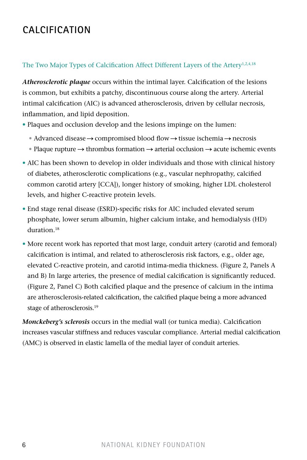## **Calcification**

#### The Two Major Types of Calcification Affect Different Layers of the Artery<sup>1,2,4,18</sup>

*Atherosclerotic plaque* occurs within the intimal layer. Calcification of the lesions is common, but exhibits a patchy, discontinuous course along the artery. Arterial intimal calcification (AIC) is advanced atherosclerosis, driven by cellular necrosis, inflammation, and lipid deposition.

- Plaques and occlusion develop and the lesions impinge on the lumen:
	- Advanced disease  $\rightarrow$  compromised blood flow  $\rightarrow$  tissue ischemia  $\rightarrow$  necrosis
	- Plaque rupture  $\rightarrow$  thrombus formation  $\rightarrow$  arterial occlusion  $\rightarrow$  acute ischemic events
- AIC has been shown to develop in older individuals and those with clinical history of diabetes, atherosclerotic complications (e.g., vascular nephropathy, calcified common carotid artery [CCA]), longer history of smoking, higher LDL cholesterol levels, and higher C-reactive protein levels.
- End stage renal disease (ESRD)-specific risks for AIC included elevated serum phosphate, lower serum albumin, higher calcium intake, and hemodialysis (HD) duration<sup>18</sup>
- More recent work has reported that most large, conduit artery (carotid and femoral) calcification is intimal, and related to atherosclerosis risk factors, e.g., older age, elevated C-reactive protein, and carotid intima-media thickness. (Figure 2, Panels A and B) In large arteries, the presence of medial calcification is significantly reduced. (Figure 2, Panel C) Both calcified plaque and the presence of calcium in the intima are atherosclerosis-related calcification, the calcified plaque being a more advanced stage of atherosclerosis.19

*Monckeberg's sclerosis* occurs in the medial wall (or tunica media). Calcification increases vascular stiffness and reduces vascular compliance. Arterial medial calcification (AMC) is observed in elastic lamella of the medial layer of conduit arteries.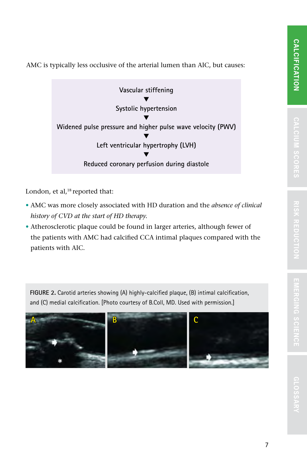AMC is typically less occlusive of the arterial lumen than AIC, but causes:



London, et al,<sup>18</sup> reported that:

- AMC was more closely associated with HD duration and the *absence of clinical history of CVD at the start of HD therapy.*
- Atherosclerotic plaque could be found in larger arteries, although fewer of the patients with AMC had calcified CCA intimal plaques compared with the patients with AIC.

**Figure 2.** Carotid arteries showing (A) highly-calcified plaque, (B) intimal calcification, and (C) medial calcification. [Photo courtesy of B.Coll, MD. Used with permission.]

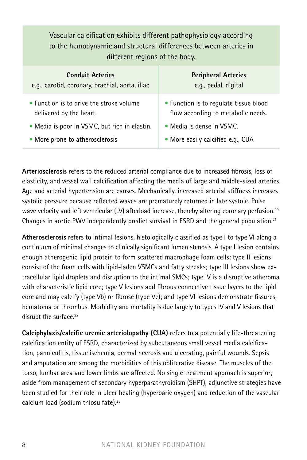| Vascular calcification exhibits different pathophysiology according<br>to the hemodynamic and structural differences between arteries in<br>different regions of the body. |                                                                              |  |
|----------------------------------------------------------------------------------------------------------------------------------------------------------------------------|------------------------------------------------------------------------------|--|
| <b>Conduit Arteries</b><br>e.g., carotid, coronary, brachial, aorta, iliac                                                                                                 | <b>Peripheral Arteries</b><br>e.g., pedal, digital                           |  |
| • Function is to drive the stroke volume<br>delivered by the heart.                                                                                                        | • Function is to regulate tissue blood<br>flow according to metabolic needs. |  |
| • Media is poor in VSMC, but rich in elastin.                                                                                                                              | $\bullet$ Media is dense in VSMC.                                            |  |
| • More prone to atherosclerosis                                                                                                                                            | • More easily calcified e.g., CUA                                            |  |

**Arteriosclerosis** refers to the reduced arterial compliance due to increased fibrosis, loss of elasticity, and vessel wall calcification affecting the media of large and middle-sized arteries. Age and arterial hypertension are causes. Mechanically, increased arterial stiffness increases systolic pressure because reflected waves are prematurely returned in late systole. Pulse wave velocity and left ventricular (LV) afterload increase, thereby altering coronary perfusion.<sup>20</sup> Changes in aortic PWV independently predict survival in ESRD and the general population.<sup>21</sup>

**Atherosclerosis** refers to intimal lesions, histologically classified as type I to type VI along a continuum of minimal changes to clinically significant lumen stenosis. A type I lesion contains enough atherogenic lipid protein to form scattered macrophage foam cells; type II lesions consist of the foam cells with lipid-laden VSMCs and fatty streaks; type III lesions show extracellular lipid droplets and disruption to the intimal SMCs; type IV is a disruptive atheroma with characteristic lipid core; type V lesions add fibrous connective tissue layers to the lipid core and may calcify (type Vb) or fibrose (type Vc); and type VI lesions demonstrate fissures, hematoma or thrombus. Morbidity and mortality is due largely to types IV and V lesions that disrupt the surface.<sup>22</sup>

**Calciphylaxis/calcific uremic arteriolopathy (CUA)** refers to a potentially life-threatening calcification entity of ESRD, characterized by subcutaneous small vessel media calcification, panniculitis, tissue ischemia, dermal necrosis and ulcerating, painful wounds. Sepsis and amputation are among the morbidities of this obliterative disease. The muscles of the torso, lumbar area and lower limbs are affected. No single treatment approach is superior; aside from management of secondary hyperparathyroidism (SHPT), adjunctive strategies have been studied for their role in ulcer healing (hyperbaric oxygen) and reduction of the vascular calcium load (sodium thiosulfate).23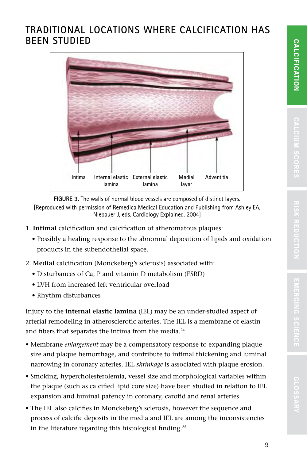### **Traditional Locations where Calcification has been Studied**



**Figure 3.** The walls of normal blood vessels are composed of distinct layers. [Reproduced with permission of Remedica Medical Education and Publishing from Ashley EA, Niebauer J, eds. Cardiology Explained. 2004]

- 1. **Intimal** calcification and calcification of atheromatous plaques:
	- Possibly a healing response to the abnormal deposition of lipids and oxidation products in the subendothelial space.
- 2. **Medial** calcification (Monckeberg's sclerosis) associated with:
	- Disturbances of Ca, P and vitamin D metabolism (ESRD)
	- LVH from increased left ventricular overload
	- Rhythm disturbances

Injury to the **internal elastic lamina** (IEL) may be an under-studied aspect of arterial remodeling in atherosclerotic arteries. The IEL is a membrane of elastin and fibers that separates the intima from the media.<sup>24</sup>

- Membrane *enlargement* may be a compensatory response to expanding plaque size and plaque hemorrhage, and contribute to intimal thickening and luminal narrowing in coronary arteries. IEL *shrinkage* is associated with plaque erosion.
- Smoking, hypercholesterolemia, vessel size and morphological variables within the plaque (such as calcified lipid core size) have been studied in relation to IEL expansion and luminal patency in coronary, carotid and renal arteries.
- The IEL also calcifies in Monckeberg's sclerosis, however the sequence and process of calcific deposits in the media and IEL are among the inconsistencies in the literature regarding this histological finding.<sup>25</sup>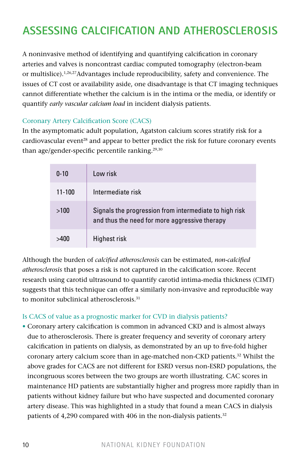# **Assessing Calcification and Atherosclerosis**

A noninvasive method of identifying and quantifying calcification in coronary arteries and valves is noncontrast cardiac computed tomography (electron-beam or multislice).1,26,27Advantages include reproducibility, safety and convenience. The issues of CT cost or availability aside, one disadvantage is that CT imaging techniques cannot differentiate whether the calcium is in the intima or the media, or identify or quantify *early vascular calcium load* in incident dialysis patients.

#### Coronary Artery Calcification Score (CACS)

In the asymptomatic adult population, Agatston calcium scores stratify risk for a cardiovascular event<sup>28</sup> and appear to better predict the risk for future coronary events than age/gender-specific percentile ranking. $29,30$ 

| $0 - 10$ | Low risk                                                                                                |
|----------|---------------------------------------------------------------------------------------------------------|
| 11-100   | Intermediate risk                                                                                       |
| >100     | Signals the progression from intermediate to high risk<br>and thus the need for more aggressive therapy |
|          | Highest risk                                                                                            |

Although the burden of *calcified atherosclerosis* can be estimated, *non-calcified atherosclerosis* that poses a risk is not captured in the calcification score. Recent research using carotid ultrasound to quantify carotid intima-media thickness (CIMT) suggests that this technique can offer a similarly non-invasive and reproducible way to monitor subclinical atherosclerosis.<sup>31</sup>

#### Is CACS of value as a prognostic marker for CVD in dialysis patients?

• Coronary artery calcification is common in advanced CKD and is almost always due to atherosclerosis. There is greater frequency and severity of coronary artery calcification in patients on dialysis, as demonstrated by an up to five-fold higher coronary artery calcium score than in age-matched non-CKD patients.32 Whilst the above grades for CACS are not different for ESRD versus non-ESRD populations, the incongruous scores between the two groups are worth illustrating. CAC scores in maintenance HD patients are substantially higher and progress more rapidly than in patients without kidney failure but who have suspected and documented coronary artery disease. This was highlighted in a study that found a mean CACS in dialysis patients of 4,290 compared with 406 in the non-dialysis patients.<sup>32</sup>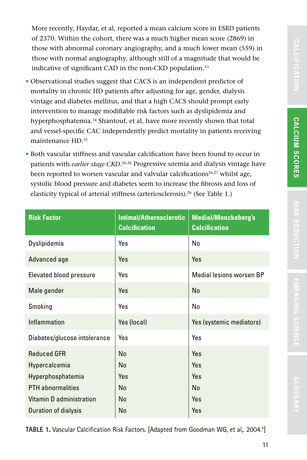More recently, Haydar, et al, reported a mean calcium score in ESRD patients of 2370. Within the cohort, there was a much higher mean score (2869) in those with abnormal coronary angiography, and a much lower mean (559) in those with normal angiography, although still of a magnitude that would be indicative of significant CAD in the non-CKD population.<sup>33</sup>

- Observational studies suggest that CACS is an independent predictor of mortality in chronic HD patients after adjusting for age, gender, dialysis vintage and diabetes mellitus, and that a high CACS should prompt early intervention to manage modifiable risk factors such as dyslipidemia and hyperphosphatemia.<sup>34</sup> Shantouf, et al, have more recently shown that total and vessel-specific CAC independently predict mortality in patients receiving maintenance HD.35
- Both vascular stiffness and vascular calcification have been found to occur in patients with *earlier stage CKD*. 26,36 Progressive uremia and dialysis vintage have been reported to worsen vascular and valvular calcifications<sup>26,27</sup> whilst age, systolic blood pressure and diabetes seem to increase the fibrosis and loss of elasticity typical of arterial stiffness (arteriosclerosis).<sup>26</sup> (See Table 1.)

| <b>Risk Factor</b>             | <b>Intimal/Atherosclerotic</b><br><b>Calcification</b> | <b>Medial/Monckeberg's</b><br><b>Calcification</b> |
|--------------------------------|--------------------------------------------------------|----------------------------------------------------|
| Dyslipidemia                   | Yes                                                    | No                                                 |
| Advanced age                   | Yes                                                    | Yes                                                |
| <b>Elevated blood pressure</b> | Yes                                                    | Medial lesions worsen BP                           |
| Male gender                    | Yes                                                    | No                                                 |
| Smoking                        | Yes                                                    | No                                                 |
| Inflammation                   | Yes (local)                                            | Yes (systemic mediators)                           |
| Diabetes/glucose intolerance   | Yes                                                    | Yes                                                |
| <b>Reduced GFR</b>             | No                                                     | Yes                                                |
| Hypercalcemia                  | No                                                     | Yes                                                |
| Hyperphosphatemia              | Yes                                                    | Yes                                                |
| <b>PTH</b> abnormalities       | No                                                     | No                                                 |
| Vitamin D administration       | No                                                     | Yes                                                |
| Duration of dialysis           | No                                                     | Yes                                                |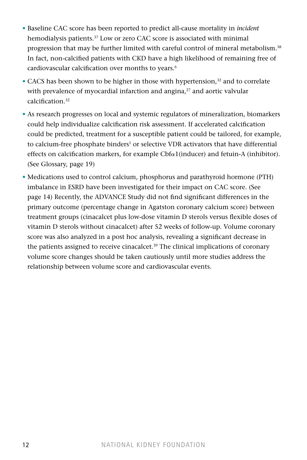- Baseline CAC score has been reported to predict all-cause mortality in *incident* hemodialysis patients.37 Low or zero CAC score is associated with minimal progression that may be further limited with careful control of mineral metabolism.<sup>38</sup> In fact, non-calcified patients with CKD have a high likelihood of remaining free of cardiovascular calcification over months to years.<sup>6</sup>
- CACS has been shown to be higher in those with hypertension, $32$  and to correlate with prevalence of myocardial infarction and angina, $27$  and aortic valvular calcification.32
- As research progresses on local and systemic regulators of mineralization, biomarkers could help individualize calcification risk assessment. If accelerated calcification could be predicted, treatment for a susceptible patient could be tailored, for example, to calcium-free phosphate binders<sup>1</sup> or selective VDR activators that have differential effects on calcification markers, for example  $Cbf_1$  (inducer) and fetuin-A (inhibitor). (See Glossary, page 19)
- Medications used to control calcium, phosphorus and parathyroid hormone (PTH) imbalance in ESRD have been investigated for their impact on CAC score. (See page 14) Recently, the ADVANCE Study did not find significant differences in the primary outcome (percentage change in Agatston coronary calcium score) between treatment groups (cinacalcet plus low-dose vitamin D sterols versus flexible doses of vitamin D sterols without cinacalcet) after 52 weeks of follow-up. Volume coronary score was also analyzed in a post hoc analysis, revealing a significant decrease in the patients assigned to receive cinacalcet.<sup>39</sup> The clinical implications of coronary volume score changes should be taken cautiously until more studies address the relationship between volume score and cardiovascular events.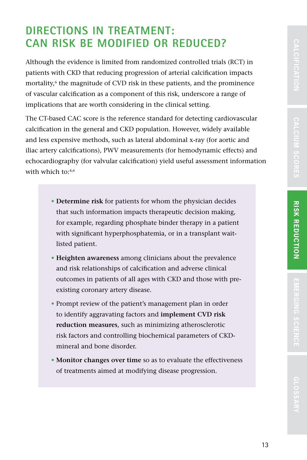Although the evidence is limited from randomized controlled trials (RCT) in patients with CKD that reducing progression of arterial calcification impacts mortality, $6$  the magnitude of CVD risk in these patients, and the prominence of vascular calcification as a component of this risk, underscore a range of implications that are worth considering in the clinical setting.

The CT-based CAC score is the reference standard for detecting cardiovascular calcification in the general and CKD population. However, widely available and less expensive methods, such as lateral abdominal x-ray (for aortic and iliac artery calcifications), PWV measurements (for hemodynamic effects) and echocardiography (for valvular calcification) yield useful assessment information with which to:<sup>4,6</sup>

- **Determine risk** for patients for whom the physician decides that such information impacts therapeutic decision making, for example, regarding phosphate binder therapy in a patient with significant hyperphosphatemia, or in a transplant waitlisted patient.
- **Heighten awareness** among clinicians about the prevalence and risk relationships of calcification and adverse clinical outcomes in patients of all ages with CKD and those with preexisting coronary artery disease.
- Prompt review of the patient's management plan in order to identify aggravating factors and **implement CVD risk reduction measures**, such as minimizing atherosclerotic risk factors and controlling biochemical parameters of CKDmineral and bone disorder.
- **Monitor changes over time** so as to evaluate the effectiveness of treatments aimed at modifying disease progression.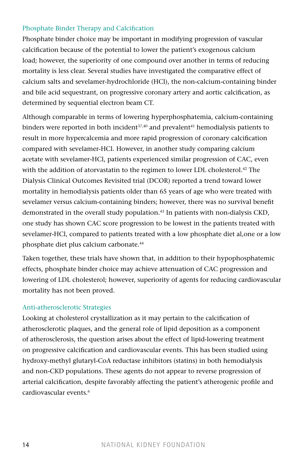#### Phosphate Binder Therapy and Calcification

Phosphate binder choice may be important in modifying progression of vascular calcification because of the potential to lower the patient's exogenous calcium load; however, the superiority of one compound over another in terms of reducing mortality is less clear. Several studies have investigated the comparative effect of calcium salts and sevelamer-hydrochloride (HCl), the non-calcium-containing binder and bile acid sequestrant, on progressive coronary artery and aortic calcification, as determined by sequential electron beam CT.

Although comparable in terms of lowering hyperphosphatemia, calcium-containing binders were reported in both incident $37,40$  and prevalent $41$  hemodialysis patients to result in more hypercalcemia and more rapid progression of coronary calcification compared with sevelamer-HCl. However, in another study comparing calcium acetate with sevelamer-HCl, patients experienced similar progression of CAC, even with the addition of atorvastatin to the regimen to lower LDL cholesterol.<sup>42</sup> The Dialysis Clinical Outcomes Revisited trial (DCOR) reported a trend toward lower mortality in hemodialysis patients older than 65 years of age who were treated with sevelamer versus calcium-containing binders; however, there was no survival benefit demonstrated in the overall study population.43 In patients with non-dialysis CKD, one study has shown CAC score progression to be lowest in the patients treated with sevelamer-HCl, compared to patients treated with a low phosphate diet al,one or a low phosphate diet plus calcium carbonate.44

Taken together, these trials have shown that, in addition to their hypophosphatemic effects, phosphate binder choice may achieve attenuation of CAC progression and lowering of LDL cholesterol; however, superiority of agents for reducing cardiovascular mortality has not been proved.

#### Anti-atherosclerotic Strategies

Looking at cholesterol crystallization as it may pertain to the calcification of atherosclerotic plaques, and the general role of lipid deposition as a component of atherosclerosis, the question arises about the effect of lipid-lowering treatment on progressive calcification and cardiovascular events. This has been studied using hydroxy-methyl glutaryl-CoA reductase inhibitors (statins) in both hemodialysis and non-CKD populations. These agents do not appear to reverse progression of arterial calcification, despite favorably affecting the patient's atherogenic profile and cardiovascular events.6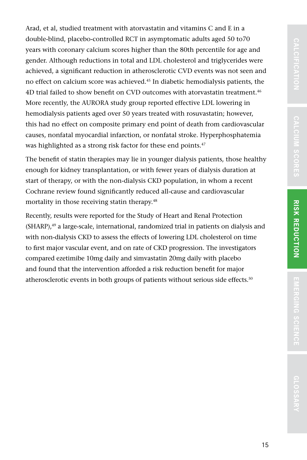**cifi cation**

**EMER GING SCIEN C E** CALCERION CALCER SCORES **RISK REDUCTION** E RISERGIO SCENCE A GLOSSARY

Arad, et al, studied treatment with atorvastatin and vitamins C and E in a double-blind, placebo-controlled RCT in asymptomatic adults aged 50 to70 years with coronary calcium scores higher than the 80th percentile for age and gender. Although reductions in total and LDL cholesterol and triglycerides were achieved, a significant reduction in atherosclerotic CVD events was not seen and no effect on calcium score was achieved.<sup>45</sup> In diabetic hemodialysis patients, the 4D trial failed to show benefit on CVD outcomes with atorvastatin treatment.<sup>46</sup> More recently, the AURORA study group reported effective LDL lowering in hemodialysis patients aged over 50 years treated with rosuvastatin; however, this had no effect on composite primary end point of death from cardiovascular causes, nonfatal myocardial infarction, or nonfatal stroke. Hyperphosphatemia was highlighted as a strong risk factor for these end points.<sup>47</sup>

The benefit of statin therapies may lie in younger dialysis patients, those healthy enough for kidney transplantation, or with fewer years of dialysis duration at start of therapy, or with the non-dialysis CKD population, in whom a recent Cochrane review found significantly reduced all-cause and cardiovascular mortality in those receiving statin therapy.<sup>48</sup>

Recently, results were reported for the Study of Heart and Renal Protection (SHARP),<sup>49</sup> a large-scale, international, randomized trial in patients on dialysis and with non-dialysis CKD to assess the effects of lowering LDL cholesterol on time to first major vascular event, and on rate of CKD progression. The investigators compared ezetimibe 10mg daily and simvastatin 20mg daily with placebo and found that the intervention afforded a risk reduction benefit for major atherosclerotic events in both groups of patients without serious side effects.<sup>50</sup>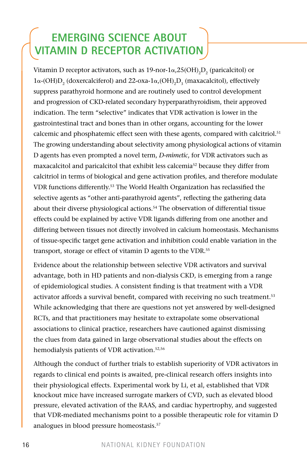# **Emerging Science about Vitamin D Receptor Activation**

Vitamin D receptor activators, such as 19-nor-1 $\alpha$ ,25(OH)<sub>2</sub>D<sub>2</sub> (paricalcitol) or  $1\alpha$ -(OH) $D_2$  (doxercalciferol) and 22-oxa- $1\alpha$ ,(OH)<sub>2</sub> $D_3$  (maxacalcitol), effectively suppress parathyroid hormone and are routinely used to control development and progression of CKD-related secondary hyperparathyroidism, their approved indication. The term "selective" indicates that VDR activation is lower in the gastrointestinal tract and bones than in other organs, accounting for the lower calcemic and phosphatemic effect seen with these agents, compared with calcitriol.<sup>51</sup> The growing understanding about selectivity among physiological actions of vitamin D agents has even prompted a novel term, *D-mimetic*, for VDR activators such as maxacalcitol and paricalcitol that exhibit less calcemia<sup>52</sup> because they differ from calcitriol in terms of biological and gene activation profiles, and therefore modulate VDR functions differently.53 The World Health Organization has reclassified the selective agents as "other anti-parathyroid agents", reflecting the gathering data about their diverse physiological actions.<sup>54</sup> The observation of differential tissue effects could be explained by active VDR ligands differing from one another and differing between tissues not directly involved in calcium homeostasis. Mechanisms of tissue-specific target gene activation and inhibition could enable variation in the transport, storage or effect of vitamin D agents to the VDR.55

Evidence about the relationship between selective VDR activators and survival advantage, both in HD patients and non-dialysis CKD, is emerging from a range of epidemiological studies. A consistent finding is that treatment with a VDR activator affords a survival benefit, compared with receiving no such treatment.<sup>53</sup> While acknowledging that there are questions not yet answered by well-designed RCTs, and that practitioners may hesitate to extrapolate some observational associations to clinical practice, researchers have cautioned against dismissing the clues from data gained in large observational studies about the effects on hemodialysis patients of VDR activation.52,56

Although the conduct of further trials to establish superiority of VDR activators in regards to clinical end points is awaited, pre-clinical research offers insights into their physiological effects. Experimental work by Li, et al, established that VDR knockout mice have increased surrogate markers of CVD, such as elevated blood pressure, elevated activation of the RAAS, and cardiac hypertrophy, and suggested that VDR-mediated mechanisms point to a possible therapeutic role for vitamin D analogues in blood pressure homeostasis.<sup>57</sup>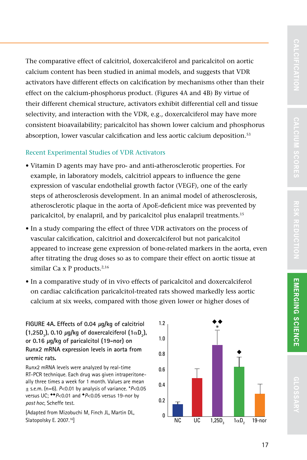**cifi cation**

The comparative effect of calcitriol, doxercalciferol and paricalcitol on aortic calcium content has been studied in animal models, and suggests that VDR activators have different effects on calcification by mechanisms other than their effect on the calcium-phosphorus product. (Figures 4A and 4B) By virtue of their different chemical structure, activators exhibit differential cell and tissue selectivity, and interaction with the VDR, e.g., doxercalciferol may have more consistent bioavailability; paricalcitol has shown lower calcium and phosphorus absorption, lower vascular calcification and less aortic calcium deposition.<sup>53</sup>

#### Recent Experimental Studies of VDR Activators

- Vitamin D agents may have pro- and anti-atherosclerotic properties. For example, in laboratory models, calcitriol appears to influence the gene expression of vascular endothelial growth factor (VEGF), one of the early steps of atherosclerosis development. In an animal model of atherosclerosis, atherosclerotic plaque in the aorta of ApoE-deficient mice was prevented by paricalcitol, by enalapril, and by paricalcitol plus enalapril treatments.<sup>15</sup>
- In a study comparing the effect of three VDR activators on the process of vascular calcification, calcitriol and doxercalciferol but not paricalcitol appeared to increase gene expression of bone-related markers in the aorta, even after titrating the drug doses so as to compare their effect on aortic tissue at similar Ca x P products. $2,16$
- In a comparative study of in vivo effects of paricalcitol and doxercalciferol on cardiac calcification paricalcitol-treated rats showed markedly less aortic calcium at six weeks, compared with those given lower or higher doses of

**Figure 4a. Effects of 0.04 μg/kg of calcitriol**   $(1,25D<sub>3</sub>)$ , 0.10  $\mu$ g/kg of doxercalciferol  $(1\alpha D<sub>2</sub>)$ , **or 0.16 μg/kg of paricalcitol (19-nor) on Runx2 mRNA expression levels in aorta from uremic rats.**

Runx2 mRNA levels were analyzed by real-time RT-PCR technique. Each drug was given intraperitoneally three times a week for 1 month. Values are mean ± s.e.m. (n=6). *P*<0.01 by analysis of variance. \**P*<0.05 versus UC; \*\* *P*<0.01 and \* *P*<0.05 versus 19-nor by *post hoc*, Scheffe test.

[Adapted from Mizobuchi M, Finch JL, Martin DL, Slatopolsky E. 2007.<sup>16</sup>]

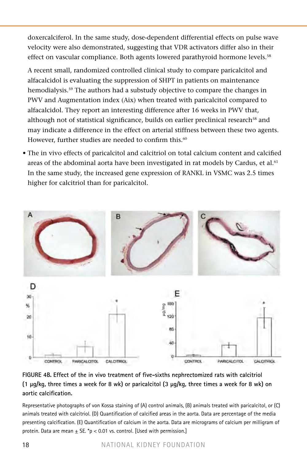doxercalciferol. In the same study, dose-dependent differential effects on pulse wave velocity were also demonstrated, suggesting that VDR activators differ also in their effect on vascular compliance. Both agents lowered parathyroid hormone levels.<sup>58</sup>

• A recent small, randomized controlled clinical study to compare paricalcitol and alfacalcidol is evaluating the suppression of SHPT in patients on maintenance hemodialysis.<sup>59</sup> The authors had a substudy objective to compare the changes in PWV and Augmentation index (Aix) when treated with paricalcitol compared to alfacalcidol. They report an interesting difference after 16 weeks in PWV that, although not of statistical significance, builds on earlier preclinical research<sup>58</sup> and may indicate a difference in the effect on arterial stiffness between these two agents. However, further studies are needed to confirm this.<sup>60</sup>

• The in vivo effects of paricalcitol and calcitriol on total calcium content and calcified areas of the abdominal aorta have been investigated in rat models by Cardus, et al.<sup>61</sup> In the same study, the increased gene expression of RANKL in VSMC was 2.5 times higher for calcitriol than for paricalcitol.



#### **Figure 4b. Effect of the in vivo treatment of five-sixths nephrectomized rats with calcitriol (1 μg/kg, three times a week for 8 wk) or paricalcitol (3 μg/kg, three times a week for 8 wk) on aortic calcification.**

Representative photographs of von Kossa staining of (A) control animals, (B) animals treated with paricalcitol, or (C) animals treated with calcitriol. (D) Quantification of calcified areas in the aorta. Data are percentage of the media presenting calcification. (E) Quantification of calcium in the aorta. Data are micrograms of calcium per milligram of protein. Data are mean  $\pm$  SE. \*p < 0.01 vs. control. [Used with permission.]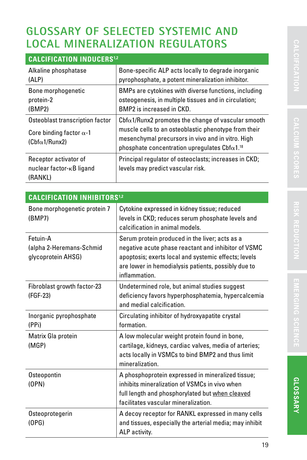## **Glossary of SELECTED Systemic and Local Mineralization Regulators**

| <b>CALCIFICATION INDUCERS<sup>1,2</sup></b>                                                |                                                                                                                                                                                                                             |  |
|--------------------------------------------------------------------------------------------|-----------------------------------------------------------------------------------------------------------------------------------------------------------------------------------------------------------------------------|--|
| Alkaline phosphatase<br>(ALP)                                                              | Bone-specific ALP acts locally to degrade inorganic<br>pyrophosphate, a potent mineralization inhibitor.                                                                                                                    |  |
| Bone morphogenetic<br>protein-2<br>(BMP2)                                                  | BMPs are cytokines with diverse functions, including<br>osteogenesis, in multiple tissues and in circulation;<br>BMP2 is increased in CKD.                                                                                  |  |
| Osteoblast transcription factor<br>Core binding factor $\alpha$ -1<br>$(Chf\alpha1/Runx2)$ | $Cbf\alpha1/R$ unx2 promotes the change of vascular smooth<br>muscle cells to an osteoblastic phenotype from their<br>mesenchymal precursors in vivo and in vitro. High<br>phosphate concentration upregulates $Cbf^{1.18}$ |  |
| Receptor activator of<br>nuclear factor- <sub>KB</sub> ligand<br>(RANKL)                   | Principal regulator of osteoclasts; increases in CKD;<br>levels may predict vascular risk.                                                                                                                                  |  |

| <b>CALCIFICATION INHIBITORS<sup>1,2</sup></b>              |                                                                                                                                                                                                                                       |  |
|------------------------------------------------------------|---------------------------------------------------------------------------------------------------------------------------------------------------------------------------------------------------------------------------------------|--|
| Bone morphogenetic protein 7<br>(BMP7)                     | Cytokine expressed in kidney tissue; reduced<br>levels in CKD; reduces serum phosphate levels and<br>calcification in animal models.                                                                                                  |  |
| Fetuin-A<br>(alpha 2-Heremans-Schmid<br>glycoprotein AHSG) | Serum protein produced in the liver; acts as a<br>negative acute phase reactant and inhibitor of VSMC<br>apoptosis; exerts local and systemic effects; levels<br>are lower in hemodialysis patients, possibly due to<br>inflammation. |  |
| Fibroblast growth factor-23<br>(FGF-23)                    | Undetermined role, but animal studies suggest<br>deficiency favors hyperphosphatemia, hypercalcemia<br>and medial calcification.                                                                                                      |  |
| Inorganic pyrophosphate<br>(PPi)                           | Circulating inhibitor of hydroxyapatite crystal<br>formation.                                                                                                                                                                         |  |
| Matrix Gla protein<br>(MGP)                                | A low molecular weight protein found in bone,<br>cartilage, kidneys, cardiac valves, media of arteries;<br>acts locally in VSMCs to bind BMP2 and thus limit<br>mineralization.                                                       |  |
| Osteopontin<br>(OPN)                                       | A phosphoprotein expressed in mineralized tissue;<br>inhibits mineralization of VSMCs in vivo when<br>full length and phosphorylated but when cleaved<br>facilitates vascular mineralization.                                         |  |
| Osteoprotegerin<br>(OPG)                                   | A decoy receptor for RANKL expressed in many cells<br>and tissues, especially the arterial media; may inhibit<br>ALP activity.                                                                                                        |  |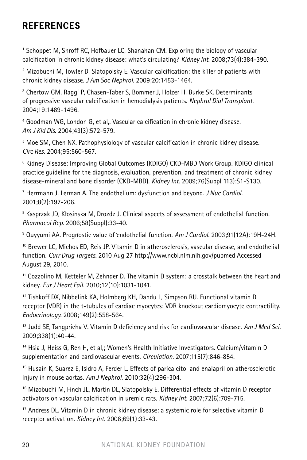## **References**

<sup>1</sup> Schoppet M, Shroff RC, Hofbauer LC, Shanahan CM. Exploring the biology of vascular calcification in chronic kidney disease: what's circulating? *Kidney Int.* 2008;73(4):384-390.

<sup>2</sup> Mizobuchi M, Towler D, Slatopolsky E. Vascular calcification: the killer of patients with chronic kidney disease. *J Am Soc Nephrol*. 2009;20:1453-1464.

<sup>3</sup> Chertow GM, Raggi P, Chasen-Taber S, Bommer J, Holzer H, Burke SK. Determinants of progressive vascular calcification in hemodialysis patients. *Nephrol Dial Transplant*. 2004;19:1489-1496.

4 Goodman WG, London G, et al,. Vascular calcification in chronic kidney disease. *Am J Kid Dis.* 2004;43(3):572-579.

<sup>5</sup> Moe SM, Chen NX. Pathophysiology of vascular calcification in chronic kidney disease. *Circ Res.* 2004;95:560-567.

6 Kidney Disease: Improving Global Outcomes (KDIGO) CKD-MBD Work Group. KDIGO clinical practice guideline for the diagnosis, evaluation, prevention, and treatment of chronic kidney disease-mineral and bone disorder (CKD-MBD). *Kidney Int.* 2009;76(Suppl 113):S1-S130.

7 Herrmann J, Lerman A. The endothelium: dysfunction and beyond. *J Nuc Cardiol.* 2001;8(2):197-206.

<sup>8</sup> Kasprzak JD, Kłosinska M, Drozdz J. Clinical aspects of assessment of endothelial function. *Pharmacol Rep*. 2006;58(Suppl):33-40.

<sup>9</sup> Quyyumi AA. Prognostic value of endothelial function. *Am J Cardiol.* 2003;91(12A):19H-24H.

10 Brewer LC, Michos ED, Reis JP. Vitamin D in atherosclerosis, vascular disease, and endothelial function. *Curr Drug Targets.* 2010 Aug 27 http://www.ncbi.nlm.nih.gov/pubmed Accessed August 29, 2010.

11 Cozzolino M, Ketteler M, Zehnder D. The vitamin D system: a crosstalk between the heart and kidney. *Eur J Heart Fail.* 2010;12(10):1031-1041.

12 Tishkoff DX, Nibbelink KA, Holmberg KH, Dandu L, Simpson RU. Functional vitamin D receptor (VDR) in the t-tubules of cardiac myocytes: VDR knockout cardiomyocyte contractility. *Endocrinology.* 2008;149(2):558-564.

13 Judd SE, Tangpricha V. Vitamin D deficiency and risk for cardiovascular disease. *Am J Med Sci.*  2009;338(1):40-44.

<sup>14</sup> Hsia J, Heiss G, Ren H, et al,; Women's Health Initiative Investigators. Calcium/vitamin D supplementation and cardiovascular events. *Circulation.* 2007;115(7):846-854.

<sup>15</sup> Husain K, Suarez E, Isidro A, Ferder L. Effects of paricalcitol and enalapril on atherosclerotic injury in mouse aortas. *Am J Nephrol.* 2010;32(4):296-304.

<sup>16</sup> Mizobuchi M, Finch JL, Martin DL, Slatopolsky E. Differential effects of vitamin D receptor activators on vascular calcification in uremic rats. *Kidney Int.* 2007;72(6):709-715.

<sup>17</sup> Andress DL. Vitamin D in chronic kidney disease: a systemic role for selective vitamin D receptor activation. *Kidney Int.* 2006;69(1):33-43.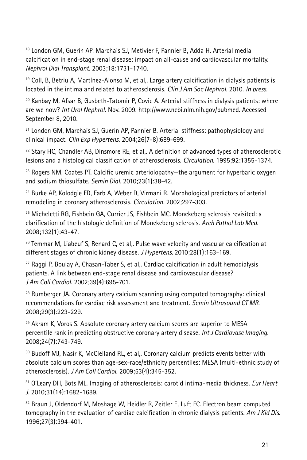18 London GM, Guerin AP, Marchais SJ, Metivier F, Pannier B, Adda H. Arterial media calcification in end-stage renal disease: impact on all-cause and cardiovascular mortality. *Nephrol Dial Transplant*. 2003;18:1731-1740.

<sup>19</sup> Coll, B, Betriu A, Martínez-Alonso M, et al,. Large artery calcification in dialysis patients is located in the intima and related to atherosclerosis. *Clin J Am Soc Nephrol.* 2010. *In press*.

20 Kanbay M, Afsar B, Gusbeth-Tatomir P, Covic A. Arterial stiffness in dialysis patients: where are we now? *Int Urol Nephrol*. Nov. 2009. http://www.ncbi.nlm.nih.gov/pubmed. Accessed September 8, 2010.

<sup>21</sup> London GM, Marchais SJ, Guerin AP, Pannier B. Arterial stiffness: pathophysiology and clinical impact. *Clin Exp Hypertens*. 2004;26(7-8):689-699.

 $22$  Stary HC, Chandler AB, Dinsmore RE, et al,. A definition of advanced types of atherosclerotic lesions and a histological classification of atherosclerosis. *Circulation.* 1995;92:1355-1374.

 $23$  Rogers NM, Coates PT. Calcific uremic arteriolopathy—the argument for hyperbaric oxygen and sodium thiosulfate. *Semin Dial.* 2010;23(1):38-42.

<sup>24</sup> Burke AP, Kolodgie FD, Farb A, Weber D, Virmani R. Morphological predictors of arterial remodeling in coronary atherosclerosis. *Circulation.* 2002;297-303.

25 Micheletti RG, Fishbein GA, Currier JS, Fishbein MC. Monckeberg sclerosis revisited: a clarification of the histologic definition of Monckeberg sclerosis. *Arch Pathol Lab Med.* 2008;132(1):43-47.

 $26$  Temmar M, Liabeuf S, Renard C, et al,. Pulse wave velocity and vascular calcification at different stages of chronic kidney disease. *J Hypertens.* 2010;28(1):163-169.

27 Raggi P, Boulay A, Chasan-Taber S, et al,. Cardiac calcification in adult hemodialysis patients. A link between end-stage renal disease and cardiovascular disease? *J Am Coll Cardiol*. 2002;39(4):695-701.

 $28$  Rumberger JA. Coronary artery calcium scanning using computed tomography: clinical recommendations for cardiac risk assessment and treatment. *Semin Ultrasound CT MR*. 2008;29(3):223-229.

<sup>29</sup> Akram K, Voros S. Absolute coronary artery calcium scores are superior to MESA percentile rank in predicting obstructive coronary artery disease. *Int J Cardiovasc Imaging.* 2008;24(7):743-749.

30 Budoff MJ, Nasir K, McClelland RL, et al,. Coronary calcium predicts events better with absolute calcium scores than age-sex-race/ethnicity percentiles: MESA (multi-ethnic study of atherosclerosis). *J Am Coll Cardiol.* 2009;53(4):345-352.

31 O'Leary DH, Bots ML. Imaging of atherosclerosis: carotid intima-media thickness. *Eur Heart J.* 2010;31(14):1682-1689.

32 Braun J, Oldendorf M, Moshage W, Heidler R, Zeitler E, Luft FC. Electron beam computed tomography in the evaluation of cardiac calcification in chronic dialysis patients. *Am J Kid Dis.* 1996;27(3):394-401.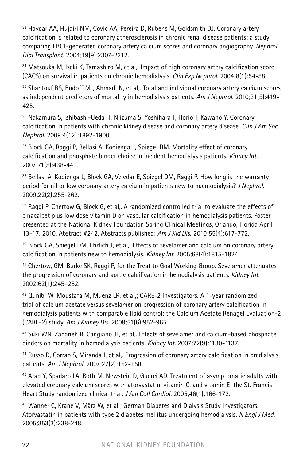$33$  Haydar AA, Hujairi NM, Covic AA, Pereira D, Rubens M, Goldsmith DJ. Coronary artery calcification is related to coronary atherosclerosis in chronic renal disease patients: a study comparing EBCT-generated coronary artery calcium scores and coronary angiography. *Nephrol Dial Transplant.* 2004;19(9):2307-2312.

34 Matsouka M, Iseki K, Tamashiro M, et al,. Impact of high coronary artery calcification score (CACS) on survival in patients on chronic hemodialysis. *Clin Exp Nephrol.* 2004;8(1):54-58.

35 Shantouf RS, Budoff MJ, Ahmadi N, et al,. Total and individual coronary artery calcium scores as independent predictors of mortality in hemodialysis patients. *Am J Nephrol.* 2010;31(5):419- 425.

36 Nakamura S, Ishibashi-Ueda H, Niizuma S, Yoshihara F, Horio T, Kawano Y. Coronary calcification in patients with chronic kidney disease and coronary artery disease. *Clin J Am Soc Nephrol.* 2009;4(12):1892-1900.

37 Block GA, Raggi P, Bellasi A, Kooienga L, Spiegel DM. Mortality effect of coronary calcification and phosphate binder choice in incident hemodialysis patients. *Kidney Int.* 2007;71(5):438-441.

<sup>38</sup> Bellasi A, Kooienga L, Block GA, Veledar E, Spiegel DM, Raggi P. How long is the warranty period for nil or low coronary artery calcium in patients new to haemodialysis? *J Nephrol.* 2009;22(2):255-262.

 $39$  Raggi P, Chertow G, Block G, et al.. A randomized controlled trial to evaluate the effects of cinacalcet plus low dose vitamin D on vascular calcification in hemodialysis patients. Poster presented at the National Kidney Foundation Spring Clinical Meetings, Orlando, Florida April 13-17, 2010. Abstract #242. Abstracts published: *Am J Kid Dis.* 2010;55(4):617-772.

40 Block GA, Spiegel DM, Ehrlich J, et al,. Effects of sevelamer and calcium on coronary artery calcification in patients new to hemodialysis. *Kidney Int.* 2005;68(4):1815-1824.

41 Chertow, GM, Burke SK, Raggi P, for the Treat to Goal Working Group. Sevelamer attenuates the progression of coronary and aortic calcification in hemodialysis patients. *Kidney Int.*  2002;62(1):245–252.

42 Qunibi W, Moustafa M, Muenz LR, et al,; CARE-2 Investigators. A 1-year randomized trial of calcium acetate versus sevelamer on progression of coronary artery calcification in hemodialysis patients with comparable lipid control: the Calcium Acetate Renagel Evaluation-2 (CARE-2) study. *Am J Kidney Dis.* 2008;51(6):952-965.

43 Suki WN, Zabaneh R, Cangiano JL, et al,. Effects of sevelamer and calcium-based phosphate binders on mortality in hemodialysis patients. *Kidney Int.* 2007;72(9):1130-1137.

44 Russo D, Corrao S, Miranda I, et al,. Progression of coronary artery calcification in predialysis patients. *Am J Nephrol.* 2007;27(2):152-158.

45 Arad Y, Spadaro LA, Roth M, Newstein D, Guerci AD. Treatment of asymptomatic adults with elevated coronary calcium scores with atorvastatin, vitamin C, and vitamin E: the St. Francis Heart Study randomized clinical trial. *J Am Coll Cardiol.* 2005;46(1):166-172.

46 Wanner C, Krane V, März W, et al,; German Diabetes and Dialysis Study Investigators. Atorvastatin in patients with type 2 diabetes mellitus undergoing hemodialysis. *N Engl J Med.* 2005;353(3):238-248.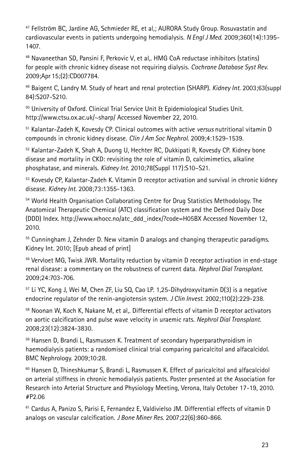47 Fellström BC, Jardine AG, Schmieder RE, et al,; AURORA Study Group. Rosuvastatin and cardiovascular events in patients undergoing hemodialysis. *N Engl J Med.* 2009;360(14):1395- 1407.

48 Navaneethan SD, Pansini F, Perkovic V, et al,. HMG CoA reductase inhibitors (statins) for people with chronic kidney disease not requiring dialysis. *Cochrane Database Syst Rev*. 2009;Apr 15;(2):CD007784.

49 Baigent C, Landry M. Study of heart and renal protection (SHARP). *Kidney Int.* 2003;63(suppl 84):S207-S210.

50 University of Oxford. Clinical Trial Service Unit & Epidemiological Studies Unit. http://www.ctsu.ox.ac.uk/~sharp/ Accessed November 22, 2010.

51 Kalantar-Zadeh K, Kovesdy CP. Clinical outcomes with active *versus* nutritional vitamin D compounds in chronic kidney disease. *Clin J Am Soc Nephrol*. 2009;4:1529-1539.

52 Kalantar-Zadeh K, Shah A, Duong U, Hechter RC, Dukkipati R, Kovesdy CP. Kidney bone disease and mortality in CKD: revisiting the role of vitamin D, calcimimetics, alkaline phosphatase, and minerals. *Kidney Int.* 2010;78(Suppl 117):S10–S21.

53 Kovesdy CP, Kalantar-Zadeh K. Vitamin D receptor activation and survival in chronic kidney disease. *Kidney Int.* 2008;73:1355-1363.

54 World Health Organisation Collaborating Centre for Drug Statistics Methodology. The Anatomical Therapeutic Chemical (ATC) classification system and the Defined Daily Dose (DDD) Index. http://www.whocc.no/atc\_ddd\_index/?code=H05BX Accessed November 12, 2010.

55 Cunningham J, Zehnder D. New vitamin D analogs and changing therapeutic paradigms. Kidney Int. 2010; [Epub ahead of print]

56 Vervloet MG, Twisk JWR. Mortality reduction by vitamin D receptor activation in end-stage renal disease: a commentary on the robustness of current data. *Nephrol Dial Transplant*. 2009;24:703-706.

57 Li YC, Kong J, Wei M, Chen ZF, Liu SQ, Cao LP. 1,25-Dihydroxyvitamin D(3) is a negative endocrine regulator of the renin-angiotensin system. *J Clin Invest.* 2002;110(2):229-238.

<sup>58</sup> Noonan W, Koch K, Nakane M, et al,. Differential effects of vitamin D receptor activators on aortic calcification and pulse wave velocity in uraemic rats. *Nephrol Dial Transplant.* 2008;23(12):3824-3830.

59 Hansen D, Brandi L, Rasmussen K. Treatment of secondary hyperparathyroidism in haemodialysis patients: a randomised clinical trial comparing paricalcitol and alfacalcidol. BMC Nephrology. 2009;10:28.

 $60$  Hansen D, Thineshkumar S, Brandi L, Rasmussen K. Effect of paricalcitol and alfacalcidol on arterial stiffness in chronic hemodialysis patients. Poster presented at the Association for Research into Arterial Structure and Physiology Meeting, Verona, Italy October 17-19, 2010. #P2.06

<sup>61</sup> Cardus A, Panizo S, Parisi E, Fernandez E, Valdivielso JM. Differential effects of vitamin D analogs on vascular calcification. *J Bone Miner Res.* 2007;22(6):860-866.